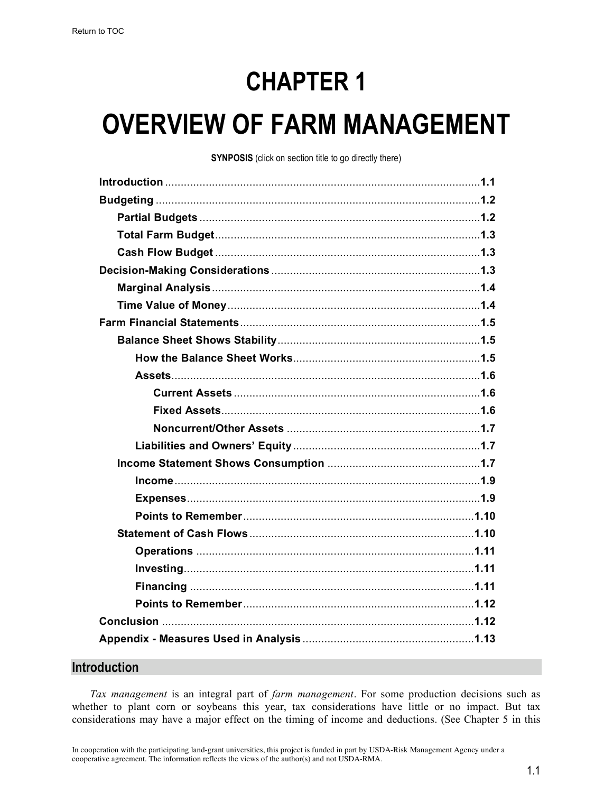# **CHAPTER 1**

# **OVERVIEW OF FARM MANAGEMENT**

**SYNPOSIS** (click on section title to go directly there)

#### **Introduction**

*Tax management* is an integral part of *farm management*. For some production decisions such as whether to plant corn or soybeans this year, tax considerations have little or no impact. But tax considerations may have a major effect on the timing of income and deductions. (See Chapter 5 in this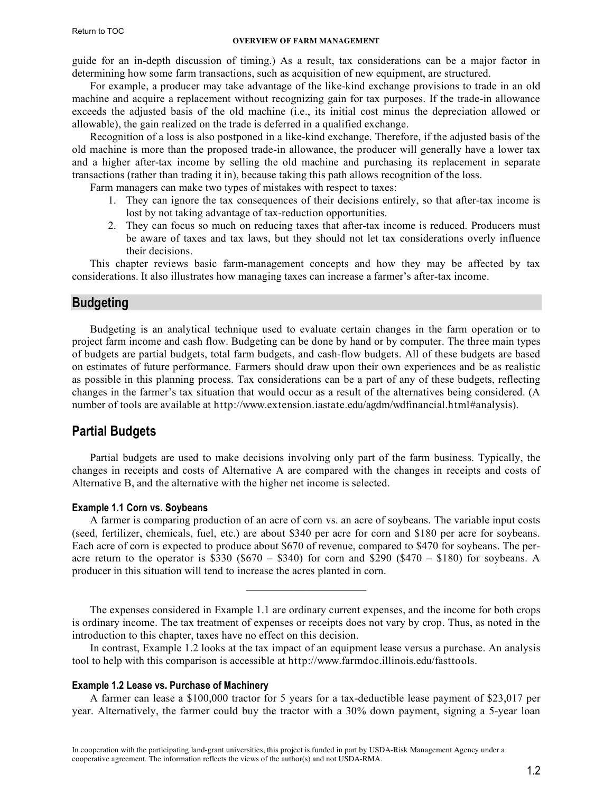#### **OVERVIEW OF FARM MANAGEMENT**

<span id="page-1-0"></span>guide for an in-depth discussion of timing.) As a result, tax considerations can be a major factor in determining how some farm transactions, such as acquisition of new equipment, are structured.

For example, a producer may take advantage of the like-kind exchange provisions to trade in an old machine and acquire a replacement without recognizing gain for tax purposes. If the trade-in allowance exceeds the adjusted basis of the old machine (i.e., its initial cost minus the depreciation allowed or allowable), the gain realized on the trade is deferred in a qualified exchange.

Recognition of a loss is also postponed in a like-kind exchange. Therefore, if the adjusted basis of the old machine is more than the proposed trade-in allowance, the producer will generally have a lower tax and a higher after-tax income by selling the old machine and purchasing its replacement in separate transactions (rather than trading it in), because taking this path allows recognition of the loss.

Farm managers can make two types of mistakes with respect to taxes:

- 1. They can ignore the tax consequences of their decisions entirely, so that after-tax income is lost by not taking advantage of tax-reduction opportunities.
- 2. They can focus so much on reducing taxes that after-tax income is reduced. Producers must be aware of taxes and tax laws, but they should not let tax considerations overly influence their decisions.

This chapter reviews basic farm-management concepts and how they may be affected by tax considerations. It also illustrates how managing taxes can increase a farmer's after-tax income.

#### **Budgeting**

Budgeting is an analytical technique used to evaluate certain changes in the farm operation or to project farm income and cash flow. Budgeting can be done by hand or by computer. The three main types of budgets are partial budgets, total farm budgets, and cash-flow budgets. All of these budgets are based on estimates of future performance. Farmers should draw upon their own experiences and be as realistic as possible in this planning process. Tax considerations can be a part of any of these budgets, reflecting changes in the farmer's tax situation that would occur as a result of the alternatives being considered. (A number of tools are available at http://www.extension.iastate.edu/agdm/wdfinancial.html#analysis).

### **Partial Budgets**

Partial budgets are used to make decisions involving only part of the farm business. Typically, the changes in receipts and costs of Alternative A are compared with the changes in receipts and costs of Alternative B, and the alternative with the higher net income is selected.

#### **Example 1.1 Corn vs. Soybeans**

A farmer is comparing production of an acre of corn vs. an acre of soybeans. The variable input costs (seed, fertilizer, chemicals, fuel, etc.) are about \$340 per acre for corn and \$180 per acre for soybeans. Each acre of corn is expected to produce about \$670 of revenue, compared to \$470 for soybeans. The peracre return to the operator is \$330 (\$670 – \$340) for corn and \$290 (\$470 – \$180) for soybeans. A producer in this situation will tend to increase the acres planted in corn.

The expenses considered in Example 1.1 are ordinary current expenses, and the income for both crops is ordinary income. The tax treatment of expenses or receipts does not vary by crop. Thus, as noted in the introduction to this chapter, taxes have no effect on this decision.

 $\mathcal{L}_\text{max}$ 

In contrast, Example 1.2 looks at the tax impact of an equipment lease versus a purchase. An analysis tool to help with this comparison is accessible at http://www.farmdoc.illinois.edu/fasttools.

#### **Example 1.2 Lease vs. Purchase of Machinery**

A farmer can lease a \$100,000 tractor for 5 years for a tax-deductible lease payment of \$23,017 per year. Alternatively, the farmer could buy the tractor with a 30% down payment, signing a 5-year loan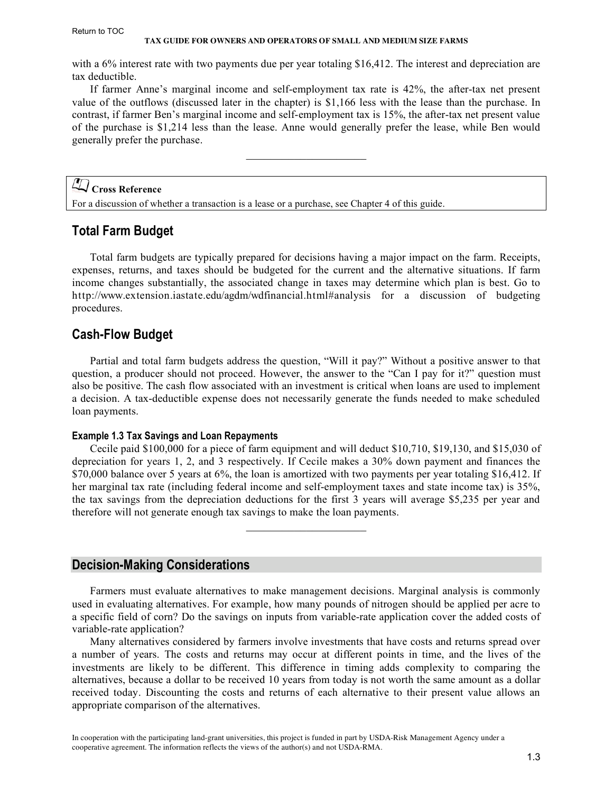<span id="page-2-0"></span>with a 6% interest rate with two payments due per year totaling \$16,412. The interest and depreciation are tax deductible.

If farmer Anne's marginal income and self-employment tax rate is 42%, the after-tax net present value of the outflows (discussed later in the chapter) is \$1,166 less with the lease than the purchase. In contrast, if farmer Ben's marginal income and self-employment tax is 15%, the after-tax net present value of the purchase is \$1,214 less than the lease. Anne would generally prefer the lease, while Ben would generally prefer the purchase.

 $\mathcal{L}_\text{max}$ 

# **Cross Reference**

For a discussion of whether a transaction is a lease or a purchase, see Chapter 4 of this guide.

# **Total Farm Budget**

Total farm budgets are typically prepared for decisions having a major impact on the farm. Receipts, expenses, returns, and taxes should be budgeted for the current and the alternative situations. If farm income changes substantially, the associated change in taxes may determine which plan is best. Go to http://www.extension.iastate.edu/agdm/wdfinancial.html#analysis for a discussion of budgeting procedures.

## **Cash-Flow Budget**

Partial and total farm budgets address the question, "Will it pay?" Without a positive answer to that question, a producer should not proceed. However, the answer to the "Can I pay for it?" question must also be positive. The cash flow associated with an investment is critical when loans are used to implement a decision. A tax-deductible expense does not necessarily generate the funds needed to make scheduled loan payments.

#### **Example 1.3 Tax Savings and Loan Repayments**

Cecile paid \$100,000 for a piece of farm equipment and will deduct \$10,710, \$19,130, and \$15,030 of depreciation for years 1, 2, and 3 respectively. If Cecile makes a 30% down payment and finances the \$70,000 balance over 5 years at 6%, the loan is amortized with two payments per year totaling \$16,412. If her marginal tax rate (including federal income and self-employment taxes and state income tax) is 35%, the tax savings from the depreciation deductions for the first 3 years will average \$5,235 per year and therefore will not generate enough tax savings to make the loan payments.

 $\mathcal{L}_\text{max}$  , where  $\mathcal{L}_\text{max}$  , we have the set of  $\mathcal{L}_\text{max}$ 

#### **Decision-Making Considerations**

Farmers must evaluate alternatives to make management decisions. Marginal analysis is commonly used in evaluating alternatives. For example, how many pounds of nitrogen should be applied per acre to a specific field of corn? Do the savings on inputs from variable-rate application cover the added costs of variable-rate application?

Many alternatives considered by farmers involve investments that have costs and returns spread over a number of years. The costs and returns may occur at different points in time, and the lives of the investments are likely to be different. This difference in timing adds complexity to comparing the alternatives, because a dollar to be received 10 years from today is not worth the same amount as a dollar received today. Discounting the costs and returns of each alternative to their present value allows an appropriate comparison of the alternatives.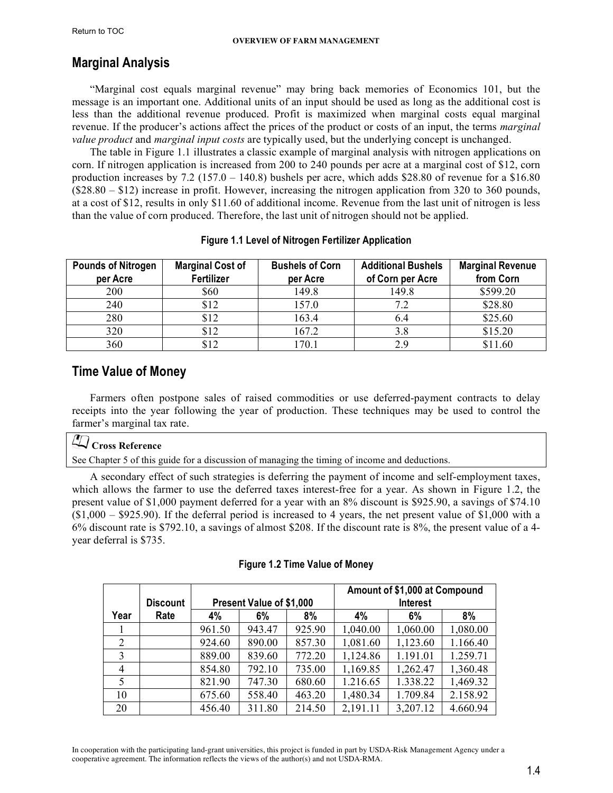# <span id="page-3-0"></span>**Marginal Analysis**

"Marginal cost equals marginal revenue" may bring back memories of Economics 101, but the message is an important one. Additional units of an input should be used as long as the additional cost is less than the additional revenue produced. Profit is maximized when marginal costs equal marginal revenue. If the producer's actions affect the prices of the product or costs of an input, the terms *marginal value product* and *marginal input costs* are typically used, but the underlying concept is unchanged.

The table in Figure 1.1 illustrates a classic example of marginal analysis with nitrogen applications on corn. If nitrogen application is increased from 200 to 240 pounds per acre at a marginal cost of \$12, corn production increases by  $7.2$  (157.0 – 140.8) bushels per acre, which adds \$28.80 of revenue for a \$16.80 (\$28.80 – \$12) increase in profit. However, increasing the nitrogen application from 320 to 360 pounds, at a cost of \$12, results in only \$11.60 of additional income. Revenue from the last unit of nitrogen is less than the value of corn produced. Therefore, the last unit of nitrogen should not be applied.

| <b>Pounds of Nitrogen</b><br>per Acre | <b>Marginal Cost of</b><br>Fertilizer | <b>Bushels of Corn</b><br>per Acre | <b>Additional Bushels</b><br>of Corn per Acre | <b>Marginal Revenue</b><br>from Corn |
|---------------------------------------|---------------------------------------|------------------------------------|-----------------------------------------------|--------------------------------------|
| 200                                   | \$60                                  | 149.8                              | 149.8                                         | \$599.20                             |
| 240                                   | \$12                                  | 157.0                              | 7.2                                           | \$28.80                              |
| 280                                   | \$12                                  | 163.4                              | 6.4                                           | \$25.60                              |
| 320                                   | \$12                                  | 167.2                              | 3.8                                           | \$15.20                              |
| 360                                   | \$12                                  | 170.1                              | 2.9                                           | \$11.60                              |

### **Figure 1.1 Level of Nitrogen Fertilizer Application**

# **Time Value of Money**

Farmers often postpone sales of raised commodities or use deferred-payment contracts to delay receipts into the year following the year of production. These techniques may be used to control the farmer's marginal tax rate.

# **Cross Reference**

See Chapter 5 of this guide for a discussion of managing the timing of income and deductions.

A secondary effect of such strategies is deferring the payment of income and self-employment taxes, which allows the farmer to use the deferred taxes interest-free for a year. As shown in Figure 1.2, the present value of \$1,000 payment deferred for a year with an 8% discount is \$925.90, a savings of \$74.10  $(1,000 - 9925.90)$ . If the deferral period is increased to 4 years, the net present value of \$1,000 with a 6% discount rate is \$792.10, a savings of almost \$208. If the discount rate is 8%, the present value of a 4 year deferral is \$735.

|                |                 |                                 |        |        | Amount of \$1,000 at Compound |                 |          |
|----------------|-----------------|---------------------------------|--------|--------|-------------------------------|-----------------|----------|
|                | <b>Discount</b> | <b>Present Value of \$1,000</b> |        |        |                               | <b>Interest</b> |          |
| Year           | Rate            | 4%                              | 6%     | 8%     | 4%                            | 6%              | 8%       |
|                |                 | 961.50                          | 943.47 | 925.90 | 1,040.00                      | 1,060.00        | 1,080.00 |
| 2              |                 | 924.60                          | 890.00 | 857.30 | 1,081.60                      | 1,123.60        | 1.166.40 |
| 3              |                 | 889.00                          | 839.60 | 772.20 | 1,124.86                      | 1.191.01        | 1.259.71 |
| $\overline{4}$ |                 | 854.80                          | 792.10 | 735.00 | 1,169.85                      | 1,262.47        | 1,360.48 |
|                |                 | 821.90                          | 747.30 | 680.60 | 1.216.65                      | 1.338.22        | 1,469.32 |
| 10             |                 | 675.60                          | 558.40 | 463.20 | 1,480.34                      | 1.709.84        | 2.158.92 |
| 20             |                 | 456.40                          | 311.80 | 214.50 | 2,191.11                      | 3,207.12        | 4.660.94 |

#### **Figure 1.2 Time Value of Money**

In cooperation with the participating land-grant universities, this project is funded in part by USDA-Risk Management Agency under a cooperative agreement. The information reflects the views of the author(s) and not USDA-RMA.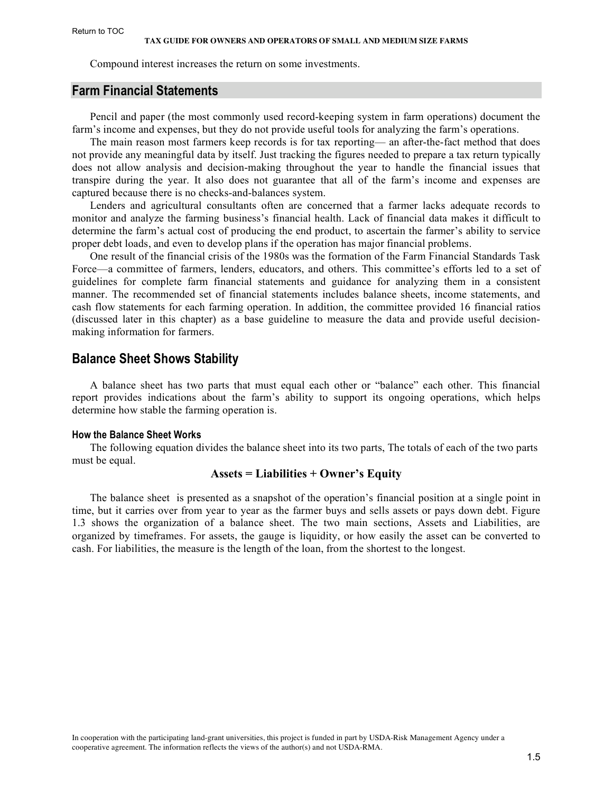<span id="page-4-0"></span>Compound interest increases the return on some investments.

#### **Farm Financial Statements**

Pencil and paper (the most commonly used record-keeping system in farm operations) document the farm's income and expenses, but they do not provide useful tools for analyzing the farm's operations.

The main reason most farmers keep records is for tax reporting— an after-the-fact method that does not provide any meaningful data by itself. Just tracking the figures needed to prepare a tax return typically does not allow analysis and decision-making throughout the year to handle the financial issues that transpire during the year. It also does not guarantee that all of the farm's income and expenses are captured because there is no checks-and-balances system.

Lenders and agricultural consultants often are concerned that a farmer lacks adequate records to monitor and analyze the farming business's financial health. Lack of financial data makes it difficult to determine the farm's actual cost of producing the end product, to ascertain the farmer's ability to service proper debt loads, and even to develop plans if the operation has major financial problems.

One result of the financial crisis of the 1980s was the formation of the Farm Financial Standards Task Force—a committee of farmers, lenders, educators, and others. This committee's efforts led to a set of guidelines for complete farm financial statements and guidance for analyzing them in a consistent manner. The recommended set of financial statements includes balance sheets, income statements, and cash flow statements for each farming operation. In addition, the committee provided 16 financial ratios (discussed later in this chapter) as a base guideline to measure the data and provide useful decisionmaking information for farmers.

## **Balance Sheet Shows Stability**

A balance sheet has two parts that must equal each other or "balance" each other. This financial report provides indications about the farm's ability to support its ongoing operations, which helps determine how stable the farming operation is.

#### **How the Balance Sheet Works**

The following equation divides the balance sheet into its two parts, The totals of each of the two parts must be equal.

#### **Assets = Liabilities + Owner's Equity**

The balance sheet is presented as a snapshot of the operation's financial position at a single point in time, but it carries over from year to year as the farmer buys and sells assets or pays down debt. Figure 1.3 shows the organization of a balance sheet. The two main sections, Assets and Liabilities, are organized by timeframes. For assets, the gauge is liquidity, or how easily the asset can be converted to cash. For liabilities, the measure is the length of the loan, from the shortest to the longest.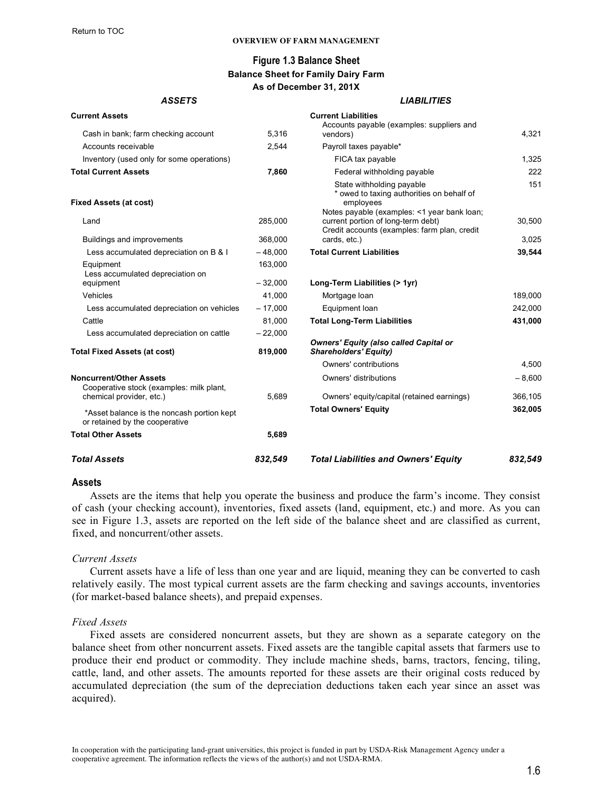#### **OVERVIEW OF FARM MANAGEMENT**

#### **Figure 1.3 Balance Sheet Balance Sheet for Family Dairy Farm As of December 31, 201X**

#### *ASSETS LIABILITIES*

<span id="page-5-0"></span>

| <b>Total Assets</b>                                                          | 832,549              | <b>Total Liabilities and Owners' Equity</b>                                                                                                 | 832.549  |
|------------------------------------------------------------------------------|----------------------|---------------------------------------------------------------------------------------------------------------------------------------------|----------|
| <b>Total Other Assets</b>                                                    | 5,689                |                                                                                                                                             |          |
| *Asset balance is the noncash portion kept<br>or retained by the cooperative |                      | <b>Total Owners' Equity</b>                                                                                                                 | 362,005  |
| chemical provider, etc.)                                                     | 5,689                | Owners' equity/capital (retained earnings)                                                                                                  | 366,105  |
| <b>Noncurrent/Other Assets</b><br>Cooperative stock (examples: milk plant,   |                      | Owners' distributions                                                                                                                       | $-8,600$ |
|                                                                              |                      | Owners' contributions                                                                                                                       | 4,500    |
| <b>Total Fixed Assets (at cost)</b>                                          | 819,000              | <b>Owners' Equity (also called Capital or</b><br><b>Shareholders' Equity)</b>                                                               |          |
| Less accumulated depreciation on cattle                                      | $-22,000$            |                                                                                                                                             |          |
| Cattle                                                                       | 81.000               | <b>Total Long-Term Liabilities</b>                                                                                                          | 431,000  |
| Less accumulated depreciation on vehicles                                    | $-17,000$            | Equipment Ioan                                                                                                                              | 242,000  |
| Vehicles                                                                     | 41,000               | Mortgage loan                                                                                                                               | 189,000  |
| Equipment<br>Less accumulated depreciation on<br>equipment                   | $-32,000$            | Long-Term Liabilities (> 1yr)                                                                                                               |          |
| Less accumulated depreciation on B & I                                       | $-48,000$<br>163,000 |                                                                                                                                             | 39,544   |
| Buildings and improvements                                                   | 368,000              | Credit accounts (examples: farm plan, credit<br>cards, etc.)<br><b>Total Current Liabilities</b>                                            | 3,025    |
| <b>Fixed Assets (at cost)</b><br>Land                                        | 285,000              | * owed to taxing authorities on behalf of<br>employees<br>Notes payable (examples: <1 year bank loan;<br>current portion of long-term debt) | 30,500   |
|                                                                              |                      | State withholding payable                                                                                                                   | 151      |
| <b>Total Current Assets</b>                                                  | 7,860                | Federal withholding payable                                                                                                                 | 222      |
| Inventory (used only for some operations)                                    |                      | FICA tax payable                                                                                                                            | 1,325    |
| Accounts receivable                                                          | 2,544                | Payroll taxes payable*                                                                                                                      |          |
| Cash in bank; farm checking account                                          | 5,316                | Accounts payable (examples: suppliers and<br>vendors)                                                                                       | 4,321    |
| <b>Current Assets</b>                                                        |                      | <b>Current Liabilities</b>                                                                                                                  |          |

#### **Assets**

Assets are the items that help you operate the business and produce the farm's income. They consist of cash (your checking account), inventories, fixed assets (land, equipment, etc.) and more. As you can see in Figure 1.3, assets are reported on the left side of the balance sheet and are classified as current, fixed, and noncurrent/other assets.

#### *Current Assets*

Current assets have a life of less than one year and are liquid, meaning they can be converted to cash relatively easily. The most typical current assets are the farm checking and savings accounts, inventories (for market-based balance sheets), and prepaid expenses.

#### *Fixed Assets*

Fixed assets are considered noncurrent assets, but they are shown as a separate category on the balance sheet from other noncurrent assets. Fixed assets are the tangible capital assets that farmers use to produce their end product or commodity. They include machine sheds, barns, tractors, fencing, tiling, cattle, land, and other assets. The amounts reported for these assets are their original costs reduced by accumulated depreciation (the sum of the depreciation deductions taken each year since an asset was acquired).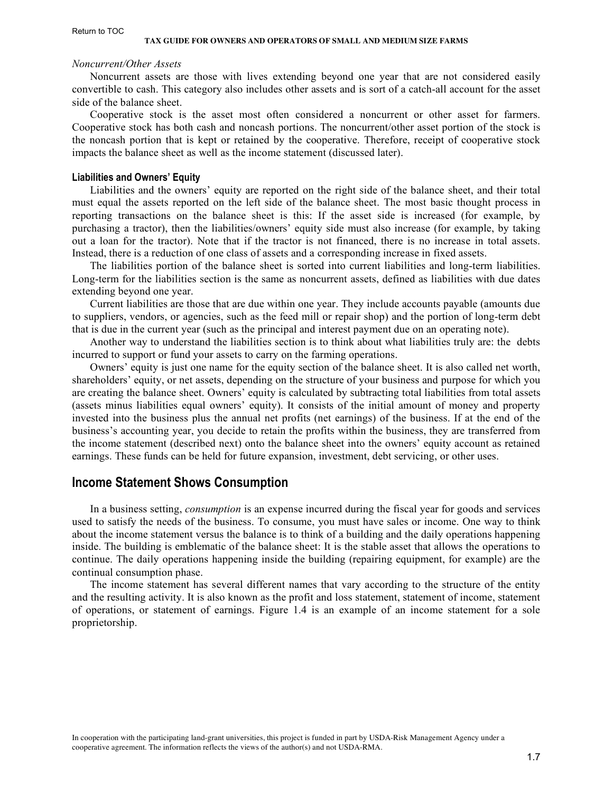#### <span id="page-6-0"></span>*Noncurrent/Other Assets*

Noncurrent assets are those with lives extending beyond one year that are not considered easily convertible to cash. This category also includes other assets and is sort of a catch-all account for the asset side of the balance sheet.

Cooperative stock is the asset most often considered a noncurrent or other asset for farmers. Cooperative stock has both cash and noncash portions. The noncurrent/other asset portion of the stock is the noncash portion that is kept or retained by the cooperative. Therefore, receipt of cooperative stock impacts the balance sheet as well as the income statement (discussed later).

#### **Liabilities and Owners' Equity**

Liabilities and the owners' equity are reported on the right side of the balance sheet, and their total must equal the assets reported on the left side of the balance sheet. The most basic thought process in reporting transactions on the balance sheet is this: If the asset side is increased (for example, by purchasing a tractor), then the liabilities/owners' equity side must also increase (for example, by taking out a loan for the tractor). Note that if the tractor is not financed, there is no increase in total assets. Instead, there is a reduction of one class of assets and a corresponding increase in fixed assets.

The liabilities portion of the balance sheet is sorted into current liabilities and long-term liabilities. Long-term for the liabilities section is the same as noncurrent assets, defined as liabilities with due dates extending beyond one year.

Current liabilities are those that are due within one year. They include accounts payable (amounts due to suppliers, vendors, or agencies, such as the feed mill or repair shop) and the portion of long-term debt that is due in the current year (such as the principal and interest payment due on an operating note).

Another way to understand the liabilities section is to think about what liabilities truly are: the debts incurred to support or fund your assets to carry on the farming operations.

Owners' equity is just one name for the equity section of the balance sheet. It is also called net worth, shareholders' equity, or net assets, depending on the structure of your business and purpose for which you are creating the balance sheet. Owners' equity is calculated by subtracting total liabilities from total assets (assets minus liabilities equal owners' equity). It consists of the initial amount of money and property invested into the business plus the annual net profits (net earnings) of the business. If at the end of the business's accounting year, you decide to retain the profits within the business, they are transferred from the income statement (described next) onto the balance sheet into the owners' equity account as retained earnings. These funds can be held for future expansion, investment, debt servicing, or other uses.

#### **Income Statement Shows Consumption**

In a business setting, *consumption* is an expense incurred during the fiscal year for goods and services used to satisfy the needs of the business. To consume, you must have sales or income. One way to think about the income statement versus the balance is to think of a building and the daily operations happening inside. The building is emblematic of the balance sheet: It is the stable asset that allows the operations to continue. The daily operations happening inside the building (repairing equipment, for example) are the continual consumption phase.

The income statement has several different names that vary according to the structure of the entity and the resulting activity. It is also known as the profit and loss statement, statement of income, statement of operations, or statement of earnings. Figure 1.4 is an example of an income statement for a sole proprietorship.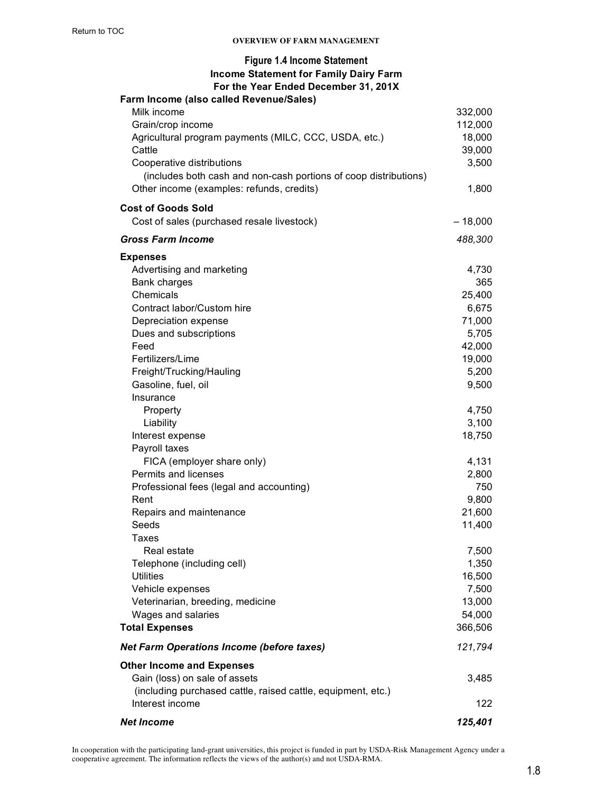| <b>Income Statement for Family Dairy Farm</b><br>For the Year Ended December 31, 201X |           |
|---------------------------------------------------------------------------------------|-----------|
| Farm Income (also called Revenue/Sales)                                               |           |
| Milk income                                                                           | 332,000   |
| Grain/crop income                                                                     | 112,000   |
| Agricultural program payments (MILC, CCC, USDA, etc.)                                 | 18,000    |
| Cattle                                                                                | 39,000    |
| Cooperative distributions                                                             | 3,500     |
| (includes both cash and non-cash portions of coop distributions)                      |           |
| Other income (examples: refunds, credits)                                             | 1,800     |
| <b>Cost of Goods Sold</b>                                                             |           |
| Cost of sales (purchased resale livestock)                                            | $-18,000$ |
| <b>Gross Farm Income</b>                                                              | 488,300   |
| <b>Expenses</b>                                                                       |           |
| Advertising and marketing                                                             | 4,730     |
| Bank charges                                                                          | 365       |
| Chemicals                                                                             | 25,400    |
| Contract labor/Custom hire                                                            | 6,675     |
| Depreciation expense                                                                  | 71,000    |
| Dues and subscriptions                                                                | 5,705     |
| Feed                                                                                  | 42,000    |
| Fertilizers/Lime                                                                      | 19,000    |
| Freight/Trucking/Hauling                                                              | 5,200     |
| Gasoline, fuel, oil                                                                   | 9,500     |
| Insurance                                                                             |           |
| Property                                                                              | 4,750     |
| Liability                                                                             | 3,100     |
| Interest expense                                                                      | 18,750    |
| Payroll taxes                                                                         |           |
| FICA (employer share only)                                                            | 4,131     |
| Permits and licenses                                                                  | 2,800     |
| Professional fees (legal and accounting)                                              | 750       |
| Rent                                                                                  | 9,800     |
| Repairs and maintenance                                                               | 21,600    |
| Seeds                                                                                 | 11,400    |
| Taxes                                                                                 |           |
| Real estate                                                                           | 7,500     |
| Telephone (including cell)                                                            | 1,350     |
| <b>Utilities</b>                                                                      | 16,500    |
|                                                                                       | 7,500     |
| Vehicle expenses                                                                      | 13,000    |
| Veterinarian, breeding, medicine                                                      |           |
| Wages and salaries                                                                    | 54,000    |
| <b>Total Expenses</b>                                                                 | 366,506   |
| <b>Net Farm Operations Income (before taxes)</b>                                      | 121,794   |
| <b>Other Income and Expenses</b>                                                      |           |
| Gain (loss) on sale of assets                                                         | 3,485     |
| (including purchased cattle, raised cattle, equipment, etc.)                          |           |
| Interest income                                                                       | 122       |
| <b>Net Income</b>                                                                     | 125,401   |

In cooperation with the participating land-grant universities, this project is funded in part by USDA-Risk Management Agency under a cooperative agreement. The information reflects the views of the author(s) and not USDA-RMA.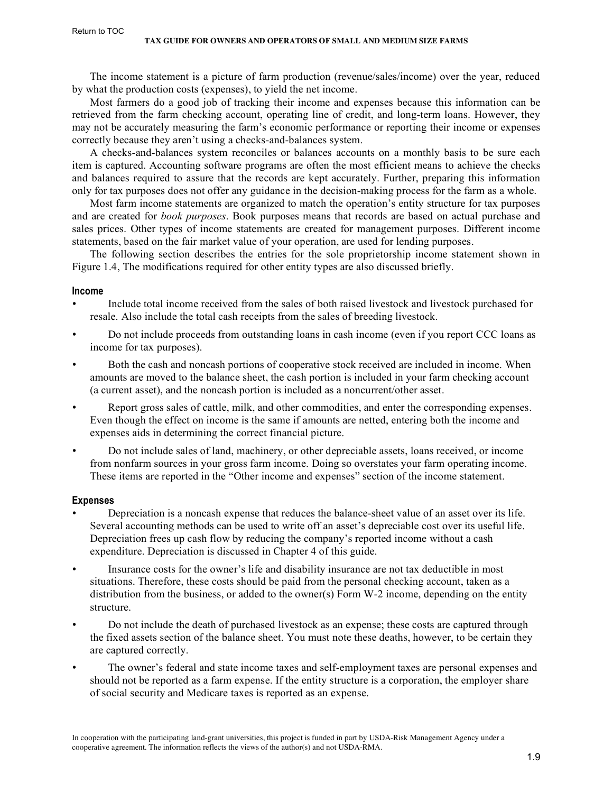<span id="page-8-0"></span>The income statement is a picture of farm production (revenue/sales/income) over the year, reduced by what the production costs (expenses), to yield the net income.

Most farmers do a good job of tracking their income and expenses because this information can be retrieved from the farm checking account, operating line of credit, and long-term loans. However, they may not be accurately measuring the farm's economic performance or reporting their income or expenses correctly because they aren't using a checks-and-balances system.

A checks-and-balances system reconciles or balances accounts on a monthly basis to be sure each item is captured. Accounting software programs are often the most efficient means to achieve the checks and balances required to assure that the records are kept accurately. Further, preparing this information only for tax purposes does not offer any guidance in the decision-making process for the farm as a whole.

Most farm income statements are organized to match the operation's entity structure for tax purposes and are created for *book purposes*. Book purposes means that records are based on actual purchase and sales prices. Other types of income statements are created for management purposes. Different income statements, based on the fair market value of your operation, are used for lending purposes.

The following section describes the entries for the sole proprietorship income statement shown in Figure 1.4, The modifications required for other entity types are also discussed briefly.

#### **Income**

- Include total income received from the sales of both raised livestock and livestock purchased for resale. Also include the total cash receipts from the sales of breeding livestock.
- Do not include proceeds from outstanding loans in cash income (even if you report CCC loans as income for tax purposes).
- Both the cash and noncash portions of cooperative stock received are included in income. When amounts are moved to the balance sheet, the cash portion is included in your farm checking account (a current asset), and the noncash portion is included as a noncurrent/other asset.
- Report gross sales of cattle, milk, and other commodities, and enter the corresponding expenses. Even though the effect on income is the same if amounts are netted, entering both the income and expenses aids in determining the correct financial picture.
- Do not include sales of land, machinery, or other depreciable assets, loans received, or income from nonfarm sources in your gross farm income. Doing so overstates your farm operating income. These items are reported in the "Other income and expenses" section of the income statement.

#### **Expenses**

- Depreciation is a noncash expense that reduces the balance-sheet value of an asset over its life. Several accounting methods can be used to write off an asset's depreciable cost over its useful life. Depreciation frees up cash flow by reducing the company's reported income without a cash expenditure. Depreciation is discussed in Chapter 4 of this guide.
- Insurance costs for the owner's life and disability insurance are not tax deductible in most situations. Therefore, these costs should be paid from the personal checking account, taken as a distribution from the business, or added to the owner(s) Form W-2 income, depending on the entity structure.
- Do not include the death of purchased livestock as an expense; these costs are captured through the fixed assets section of the balance sheet. You must note these deaths, however, to be certain they are captured correctly.
- The owner's federal and state income taxes and self-employment taxes are personal expenses and should not be reported as a farm expense. If the entity structure is a corporation, the employer share of social security and Medicare taxes is reported as an expense.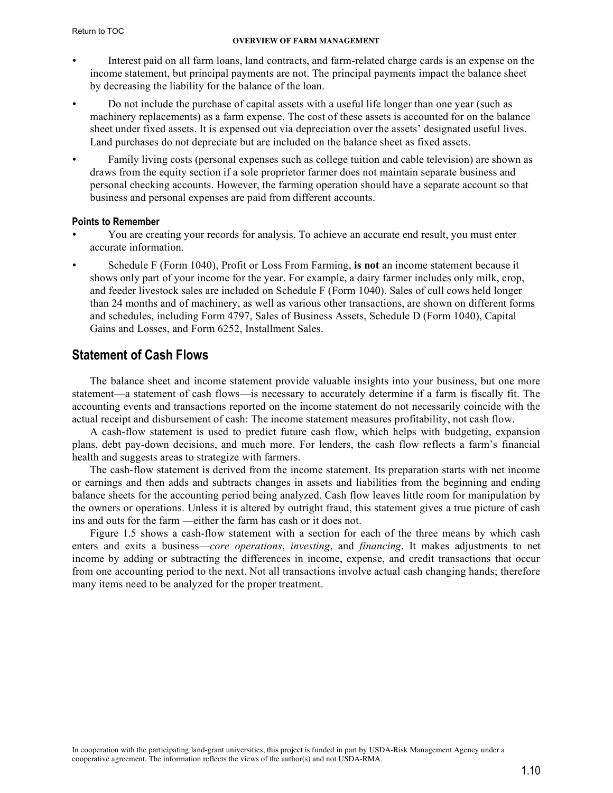- <span id="page-9-0"></span>• Interest paid on all farm loans, land contracts, and farm-related charge cards is an expense on the income statement, but principal payments are not. The principal payments impact the balance sheet by decreasing the liability for the balance of the loan.
- Do not include the purchase of capital assets with a useful life longer than one year (such as machinery replacements) as a farm expense. The cost of these assets is accounted for on the balance sheet under fixed assets. It is expensed out via depreciation over the assets' designated useful lives. Land purchases do not depreciate but are included on the balance sheet as fixed assets.
- Family living costs (personal expenses such as college tuition and cable television) are shown as draws from the equity section if a sole proprietor farmer does not maintain separate business and personal checking accounts. However, the farming operation should have a separate account so that business and personal expenses are paid from different accounts.

#### **Points to Remember**

- You are creating your records for analysis. To achieve an accurate end result, you must enter accurate information.
- Schedule F (Form 1040), Profit or Loss From Farming, **is not** an income statement because it shows only part of your income for the year. For example, a dairy farmer includes only milk, crop, and feeder livestock sales are included on Schedule F (Form 1040). Sales of cull cows held longer than 24 months and of machinery, as well as various other transactions, are shown on different forms and schedules, including Form 4797, Sales of Business Assets, Schedule D (Form 1040), Capital Gains and Losses, and Form 6252, Installment Sales.

# **Statement of Cash Flows**

The balance sheet and income statement provide valuable insights into your business, but one more statement—a statement of cash flows—is necessary to accurately determine if a farm is fiscally fit. The accounting events and transactions reported on the income statement do not necessarily coincide with the actual receipt and disbursement of cash: The income statement measures profitability, not cash flow.

A cash-flow statement is used to predict future cash flow, which helps with budgeting, expansion plans, debt pay-down decisions, and much more. For lenders, the cash flow reflects a farm's financial health and suggests areas to strategize with farmers.

The cash-flow statement is derived from the income statement. Its preparation starts with net income or earnings and then adds and subtracts changes in assets and liabilities from the beginning and ending balance sheets for the accounting period being analyzed. Cash flow leaves little room for manipulation by the owners or operations. Unless it is altered by outright fraud, this statement gives a true picture of cash ins and outs for the farm —either the farm has cash or it does not.

Figure 1.5 shows a cash-flow statement with a section for each of the three means by which cash enters and exits a business—*core operations*, *investing*, and *financing*. It makes adjustments to net income by adding or subtracting the differences in income, expense, and credit transactions that occur from one accounting period to the next. Not all transactions involve actual cash changing hands; therefore many items need to be analyzed for the proper treatment.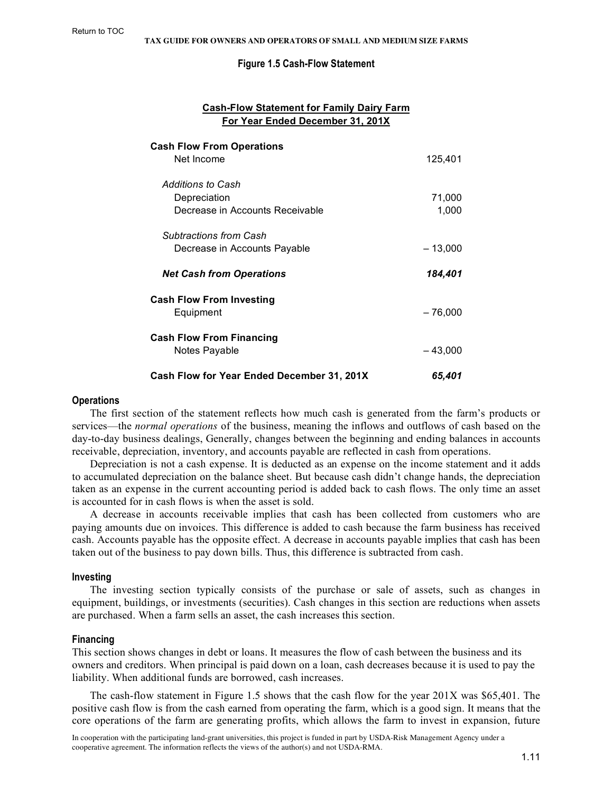#### **Figure 1.5 Cash-Flow Statement**

#### **Cash-Flow Statement for Family Dairy Farm For Year Ended December 31, 201X**

<span id="page-10-0"></span>

| <b>Cash Flow From Operations</b><br>Net Income                       | 125,401         |
|----------------------------------------------------------------------|-----------------|
| Additions to Cash<br>Depreciation<br>Decrease in Accounts Receivable | 71,000<br>1,000 |
| Subtractions from Cash<br>Decrease in Accounts Payable               | $-13,000$       |
| <b>Net Cash from Operations</b>                                      | 184,401         |
| <b>Cash Flow From Investing</b><br>Equipment                         | $-76,000$       |
| <b>Cash Flow From Financing</b><br>Notes Payable                     | $-43,000$       |
| Cash Flow for Year Ended December 31, 201X                           | 65,401          |

#### **Operations**

The first section of the statement reflects how much cash is generated from the farm's products or services—the *normal operations* of the business, meaning the inflows and outflows of cash based on the day-to-day business dealings, Generally, changes between the beginning and ending balances in accounts receivable, depreciation, inventory, and accounts payable are reflected in cash from operations.

Depreciation is not a cash expense. It is deducted as an expense on the income statement and it adds to accumulated depreciation on the balance sheet. But because cash didn't change hands, the depreciation taken as an expense in the current accounting period is added back to cash flows. The only time an asset is accounted for in cash flows is when the asset is sold.

A decrease in accounts receivable implies that cash has been collected from customers who are paying amounts due on invoices. This difference is added to cash because the farm business has received cash. Accounts payable has the opposite effect. A decrease in accounts payable implies that cash has been taken out of the business to pay down bills. Thus, this difference is subtracted from cash.

#### **Investing**

The investing section typically consists of the purchase or sale of assets, such as changes in equipment, buildings, or investments (securities). Cash changes in this section are reductions when assets are purchased. When a farm sells an asset, the cash increases this section.

#### **Financing**

This section shows changes in debt or loans. It measures the flow of cash between the business and its owners and creditors. When principal is paid down on a loan, cash decreases because it is used to pay the liability. When additional funds are borrowed, cash increases.

The cash-flow statement in Figure 1.5 shows that the cash flow for the year 201X was \$65,401. The positive cash flow is from the cash earned from operating the farm, which is a good sign. It means that the core operations of the farm are generating profits, which allows the farm to invest in expansion, future